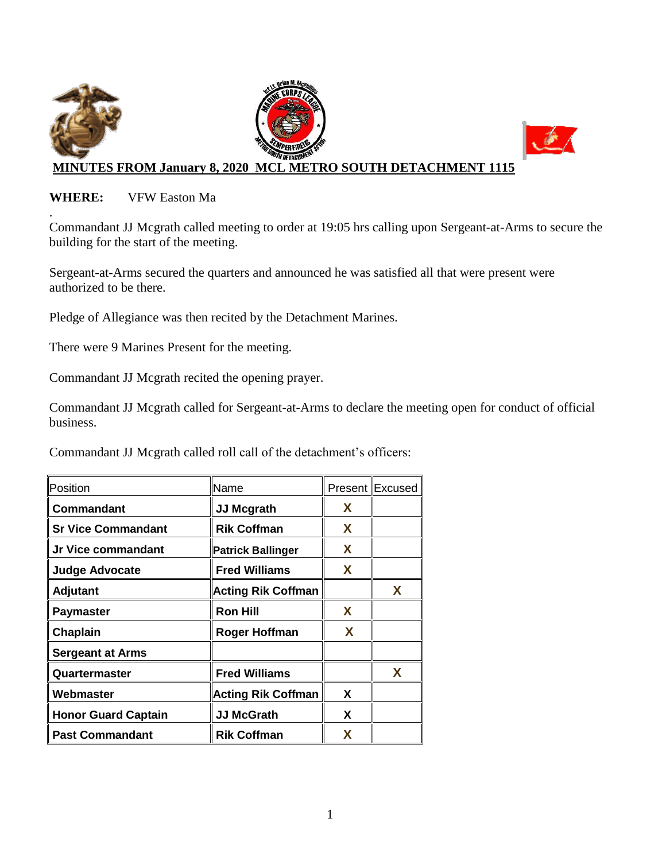

## **WHERE:** VFW Easton Ma

. Commandant JJ Mcgrath called meeting to order at 19:05 hrs calling upon Sergeant-at-Arms to secure the building for the start of the meeting.

Sergeant-at-Arms secured the quarters and announced he was satisfied all that were present were authorized to be there.

Pledge of Allegiance was then recited by the Detachment Marines.

There were 9 Marines Present for the meeting.

Commandant JJ Mcgrath recited the opening prayer.

Commandant JJ Mcgrath called for Sergeant-at-Arms to declare the meeting open for conduct of official business.

Commandant JJ Mcgrath called roll call of the detachment's officers:

| Position                   | Name                      |   | Present Excused |
|----------------------------|---------------------------|---|-----------------|
| Commandant                 | <b>JJ Mcgrath</b>         | X |                 |
| <b>Sr Vice Commandant</b>  | <b>Rik Coffman</b>        | X |                 |
| Jr Vice commandant         | <b>Patrick Ballinger</b>  | X |                 |
| <b>Judge Advocate</b>      | <b>Fred Williams</b>      | X |                 |
| <b>Adjutant</b>            | <b>Acting Rik Coffman</b> |   | X               |
| <b>Paymaster</b>           | <b>Ron Hill</b>           | X |                 |
| Chaplain                   | <b>Roger Hoffman</b>      | X |                 |
| <b>Sergeant at Arms</b>    |                           |   |                 |
| Quartermaster              | <b>Fred Williams</b>      |   | X               |
| Webmaster                  | <b>Acting Rik Coffman</b> | X |                 |
| <b>Honor Guard Captain</b> | <b>JJ McGrath</b>         | X |                 |
| <b>Past Commandant</b>     | <b>Rik Coffman</b>        | x |                 |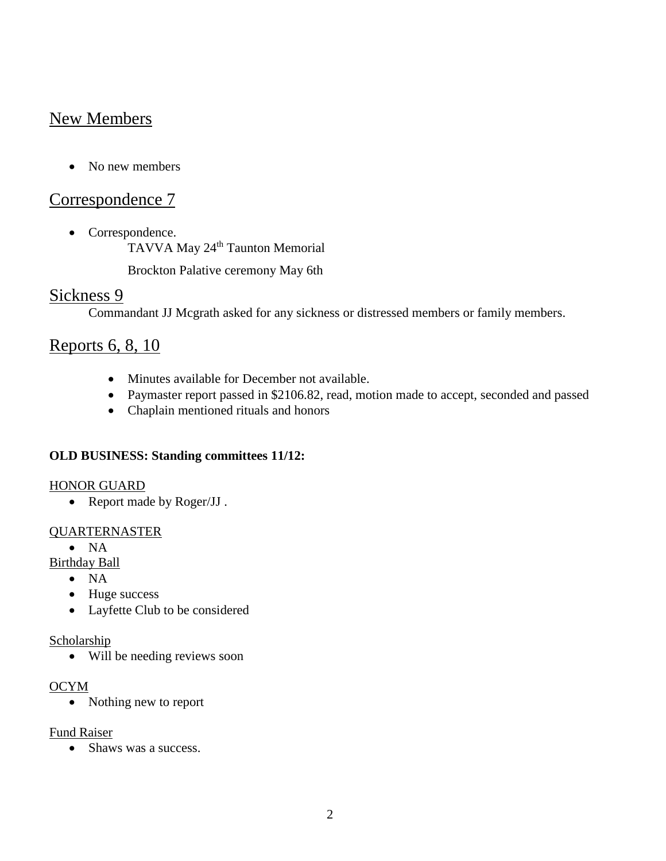# New Members

• No new members

## Correspondence 7

• Correspondence.

TAVVA May 24<sup>th</sup> Taunton Memorial

Brockton Palative ceremony May 6th

## Sickness 9

Commandant JJ Mcgrath asked for any sickness or distressed members or family members.

## Reports 6, 8, 10

- Minutes available for December not available.
- Paymaster report passed in \$2106.82, read, motion made to accept, seconded and passed
- Chaplain mentioned rituals and honors

### **OLD BUSINESS: Standing committees 11/12:**

#### HONOR GUARD

• Report made by Roger/JJ.

### QUARTERNASTER

 $\bullet$  NA

Birthday Ball

- $\bullet$  NA
- Huge success
- Layfette Club to be considered

#### Scholarship

Will be needing reviews soon

#### OCYM

• Nothing new to report

### Fund Raiser

• Shaws was a success.